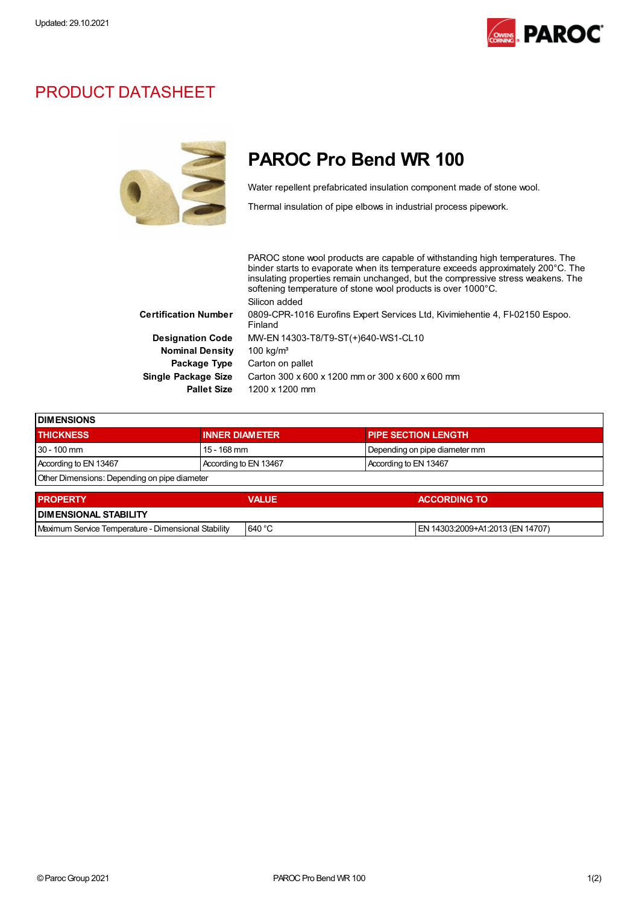

## PRODUCT DATASHEET



## PAROC Pro Bend WR 100

Water repellent prefabricated insulation component made of stone wool.

Thermal insulation of pipe elbows in industrial process pipework.

PAROC stone wool products are capable of withstanding high temperatures. The binder starts to evaporate when its temperature exceeds approximately 200°C. The insulating properties remain unchanged, but the compressive stress weakens. The softening temperature of stone wool products is over 1000°C. Silicon added Certification Number 0809-CPR-1016 Eurofins Expert Services Ltd, Kivimiehentie 4, FI-02150 Espoo. Finland Designation Code MW-EN 14303-T8/T9-ST(+)640-WS1-CL10 Nominal Density 100 kg/m<sup>3</sup> Package Type Carton on pallet Single Package Size Carton 300 x 600 x 1200 mm or 300 x 600 x 600 mm Pallet Size 1200 x 1200 mm

| <b>DIMENSIONS</b>                            |                       |                               |  |  |
|----------------------------------------------|-----------------------|-------------------------------|--|--|
| <b>THICKNESS</b>                             | <b>INNER DIAMETER</b> | <b>PIPE SECTION LENGTH</b>    |  |  |
| 30 - 100 mm                                  | 15 - 168 mm           | Depending on pipe diameter mm |  |  |
| According to EN 13467                        | According to EN 13467 | According to EN 13467         |  |  |
| Other Dimensions: Depending on pipe diameter |                       |                               |  |  |

| <b>PROPERTY</b>                                     | <b>VALUE</b> | <b>ACCORDING TO</b>               |  |  |  |
|-----------------------------------------------------|--------------|-----------------------------------|--|--|--|
| <b>I DIMENSIONAL STABILITY</b>                      |              |                                   |  |  |  |
| Maximum Service Temperature - Dimensional Stability | 640 °C       | IEN 14303:2009+A1:2013 (EN 14707) |  |  |  |